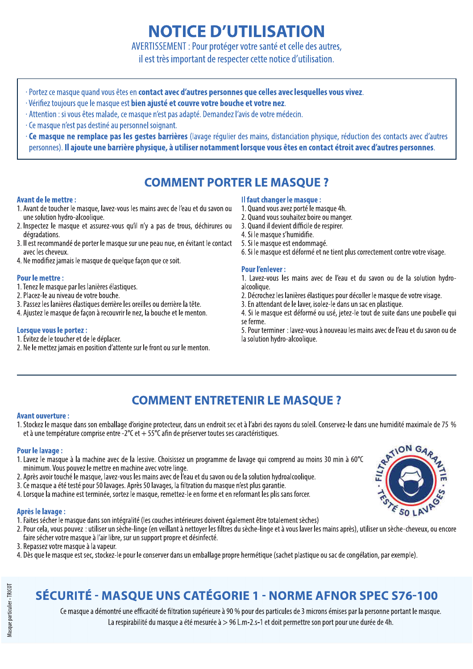**NOTICE D'UTILISATION** 

AVERTISSEMENT : Pour protéger votre santé et celle des autres,

il est très important de respecter cette notice d'utilisation.

- · Portez ce masque quand vous êtes en contact avec d'autres personnes que celles avec lesquelles vous vivez.
- · Vérifiez toujours que le masque est bien ajusté et couvre votre bouche et votre nez.
- · Attention : si vous êtes malade, ce masque n'est pas adapté. Demandez l'avis de votre médecin.
- · Ce masque n'est pas destiné au personnel soignant.

**· Ce masque ne remplace pas les gestes barrières** (lavage régulier des mains, distanciation physique, réduction des contacts avec d'autres personnes). Il ajoute une barrière physique, à utiliser notamment lorsque vous êtes en contact étroit avec d'autres personnes.

## **COMMENT PORTER LE MASQUE ?**

### **Avant de le mettre :**

- 1. Avant de toucher le masque, lavez-vous les mains avec de l'eau et du savon ou une solution hydro-alcoolique.
- 2. Inspectez le masque et assurez-vous qu'il n'y a pas de trous, déchirures ou dégradations.
- 3. Il est recommandé de porter le masque sur une peau nue, en évitant le contact avec les cheveux.
- 4. Ne modifiez jamais le masque de quelque façon que ce soit.

### **Pour le mettre :**

- 1. Tenez le masque par les lanières élastiques.
- 2. Placez-le au niveau de votre bouche.
- 3. Passez les lanières élastiques derrière les oreilles ou derrière la tête.
- 4. Ajustez le masque de façon à recouvrir le nez, la bouche et le menton.

### Lorsque vous le portez :

- 1. Évitez de le toucher et de le déplacer.
- 2. Ne le mettez jamais en position d'attente sur le front ou sur le menton.

### Il faut changer le masque :

- 1. Quand vous avez porté le masque 4h.
- 2. Quand vous souhaitez boire ou manger.
- 3. Ouand il devient difficile de respirer.
- 4. Si le masque s'humidifie.
- 5. Si le masque est endommagé.
- 6. Si le masque est déformé et ne tient plus correctement contre votre visage.

#### **Pour l'enlever:**

- 1. Lavez-vous les mains avec de l'eau et du savon ou de la solution hydroalcoolique.
- 2. Décrochez les lanières élastiques pour décoller le masque de votre visage.
- 3. En attendant de le laver, isolez-le dans un sac en plastique.
- 4. Si le masque est déformé ou usé, jetez-le tout de suite dans une poubelle qui se ferme.
- 5. Pour terminer : lavez-vous à nouveau les mains avec de l'eau et du savon ou de la solution hydro-alcoolique.

## **COMMENT ENTRETENIR LE MASQUE ?**

#### **Avant ouverture:**

1. Stockez le masque dans son emballage d'origine protecteur, dans un endroit sec et à l'abri des rayons du soleil. Conservez-le dans une humidité maximale de 75 % et à une température comprise entre -2°C et  $+55^{\circ}$ C afin de préserver toutes ses caractéristiques.

#### **Pour le lavage:**

- 1. Lavez le masque à la machine avec de la lessive. Choisissez un programme de lavage qui comprend au moins 30 min à 60°C minimum. Vous pouvez le mettre en machine avec votre linge.
- 
- 2. Après avoir touché le masque, lavez-vous les mains avec de l'eau et du savon ou de la solution hydroalcoolique.
- 3. Ce masque a été testé pour 50 lavages. Après 50 lavages, la filtration du masque n'est plus garantie.
- 4. Lorsque la machine est terminée, sortez le masque, remettez-le en forme et en reformant les plis sans forcer.

### Après le lavage :

- 1. Faites sécher le masque dans son intégralité (les couches intérieures doivent également être totalement sèches)
- 2. Pour cela, vous pouvez : utiliser un sèche-linge (en veillant à nettover les filtres du sèche-linge et à vous laver les mains après), utiliser un sèche-cheveux, ou encore faire sécher votre masque à l'air libre, sur un support propre et désinfecté.
- 3. Repassez votre masque à la vapeur.
- 4. Dès que le masque est sec, stockez-le pour le conserver dans un emballage propre hermétique (sachet plastique ou sac de congélation, par exemple).

# **SÉCURITÉ - MASQUE UNS CATÉGORIE 1 - NORME AFNOR SPEC S76-100**

Ce masque a démontré une efficacité de filtration supérieure à 90 % pour des particules de 3 microns émises par la personne portant le masque. La respirabilité du masque a été mesurée à > 96 L.m-2.s-1 et doit permettre son port pour une durée de 4h.